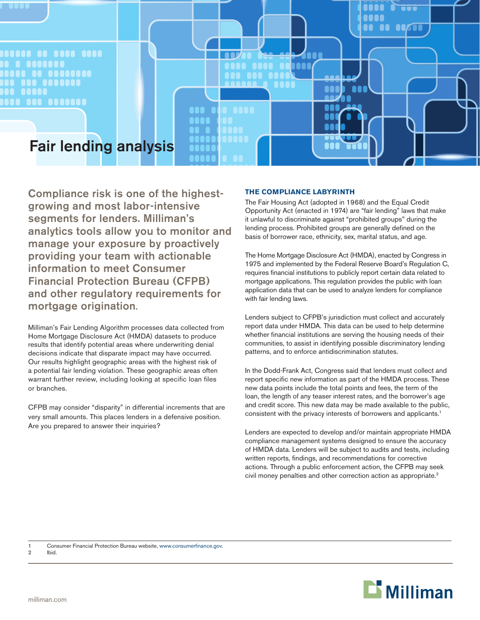

Compliance risk is one of the highestgrowing and most labor-intensive segments for lenders. Milliman's analytics tools allow you to monitor and manage your exposure by proactively providing your team with actionable information to meet Consumer Financial Protection Bureau (CFPB) and other regulatory requirements for mortgage origination.

Milliman's Fair Lending Algorithm processes data collected from Home Mortgage Disclosure Act (HMDA) datasets to produce results that identify potential areas where underwriting denial decisions indicate that disparate impact may have occurred. Our results highlight geographic areas with the highest risk of a potential fair lending violation. These geographic areas often warrant further review, including looking at specific loan files or branches.

CFPB may consider "disparity" in differential increments that are very small amounts. This places lenders in a defensive position. Are you prepared to answer their inquiries?

## **THE COMPLIANCE LABYRINTH**

The Fair Housing Act (adopted in 1968) and the Equal Credit Opportunity Act (enacted in 1974) are "fair lending" laws that make it unlawful to discriminate against "prohibited groups" during the lending process. Prohibited groups are generally defined on the basis of borrower race, ethnicity, sex, marital status, and age.

The Home Mortgage Disclosure Act (HMDA), enacted by Congress in 1975 and implemented by the Federal Reserve Board's Regulation C, requires financial institutions to publicly report certain data related to mortgage applications. This regulation provides the public with loan application data that can be used to analyze lenders for compliance with fair lending laws.

Lenders subject to CFPB's jurisdiction must collect and accurately report data under HMDA. This data can be used to help determine whether financial institutions are serving the housing needs of their communities, to assist in identifying possible discriminatory lending patterns, and to enforce antidiscrimination statutes.

In the Dodd-Frank Act, Congress said that lenders must collect and report specific new information as part of the HMDA process. These new data points include the total points and fees, the term of the loan, the length of any teaser interest rates, and the borrower's age and credit score. This new data may be made available to the public, consistent with the privacy interests of borrowers and applicants.1

Lenders are expected to develop and/or maintain appropriate HMDA compliance management systems designed to ensure the accuracy of HMDA data. Lenders will be subject to audits and tests, including written reports, findings, and recommendations for corrective actions. Through a public enforcement action, the CFPB may seek civil money penalties and other correction action as appropriate.<sup>2</sup>

1 Consumer Financial Protection Bureau website, www.consumerfinance.gov.

2 Ibid.